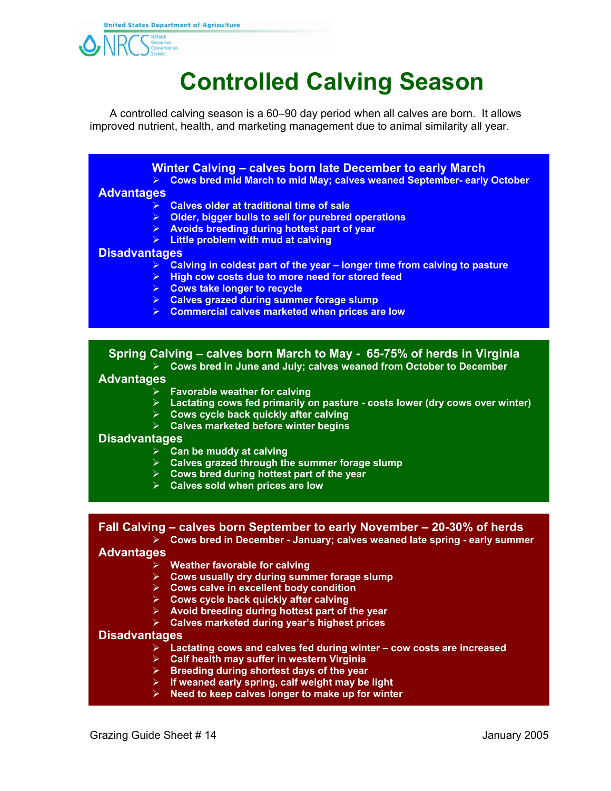

# **Controlled Calving Season**

 A controlled calving season is a 60–90 day period when all calves are born. It allows improved nutrient, health, and marketing management due to animal similarity all year.

> **Winter Calving – calves born late December to early March Cows bred mid March to mid May; calves weaned September- early October**

#### **Advantages**

- **Calves older at traditional time of sale**
- **Older, bigger bulls to sell for purebred operations**
- **Avoids breeding during hottest part of year**
- **Little problem with mud at calving**

#### **Disadvantages**

- **Calving in coldest part of the year longer time from calving to pasture**
- **High cow costs due to more need for stored feed**
- **Cows take longer to recycle**
- **Calves grazed during summer forage slump**
- **Commercial calves marketed when prices are low**

## **Spring Calving – calves born March to May - 65-75% of herds in Virginia**

**Cows bred in June and July; calves weaned from October to December**

#### **Advantages**

- **Favorable weather for calving**
- **Lactating cows fed primarily on pasture costs lower (dry cows over winter)**
- **Cows cycle back quickly after calving**
- **Calves marketed before winter begins**

### **Disadvantages**

- **Can be muddy at calving**
- **Calves grazed through the summer forage slump**
- **Cows bred during hottest part of the year**
- **Calves sold when prices are low**

**Fall Calving – calves born September to early November – 20-30% of herds Cows bred in December - January; calves weaned late spring - early summer** 

#### **Advantages**

- **Weather favorable for calving**
- **Cows usually dry during summer forage slump**
- **Cows calve in excellent body condition**
- **Cows cycle back quickly after calving**
- **Avoid breeding during hottest part of the year**
- **Calves marketed during year's highest prices**

#### **Disadvantages**

- **Lactating cows and calves fed during winter cow costs are increased**
- **Calf health may suffer in western Virginia**
- **Breeding during shortest days of the year**
- **If weaned early spring, calf weight may be light**
- **Need to keep calves longer to make up for winter**